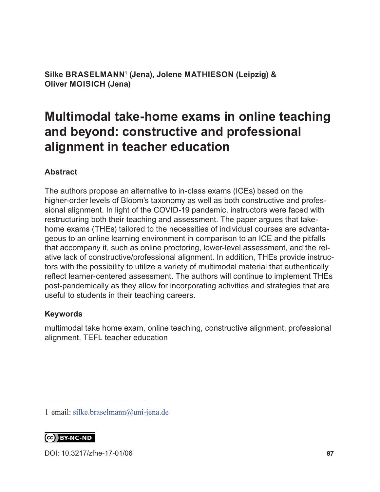**Silke BRASELMANN1 (Jena), Jolene MATHIESON (Leipzig) & Oliver MOISICH (Jena)**

# **Multimodal take-home exams in online teaching and beyond: constructive and professional alignment in teacher education**

#### **Abstract**

The authors propose an alternative to in-class exams (ICEs) based on the higher-order levels of Bloom's taxonomy as well as both constructive and professional alignment. In light of the COVID-19 pandemic, instructors were faced with restructuring both their teaching and assessment. The paper argues that takehome exams (THEs) tailored to the necessities of individual courses are advantageous to an online learning environment in comparison to an ICE and the pitfalls that accompany it, such as online proctoring, lower-level assessment, and the relative lack of constructive/professional alignment. In addition, THEs provide instructors with the possibility to utilize a variety of multimodal material that authentically reflect learner-centered assessment. The authors will continue to implement THEs post-pandemically as they allow for incorporating activities and strategies that are useful to students in their teaching careers.

#### **Keywords**

multimodal take home exam, online teaching, constructive alignment, professional alignment, TEFL teacher education

CC BY-NC-ND

DOI: [10.3217/zfhe-17-01/06](https://doi.org/10.3217/zfhe-17-01/06
) **87**

<sup>1</sup> email: [silke.braselmann@uni-jena.de](mailto:silke.braselmann%40uni-jena.de?subject=)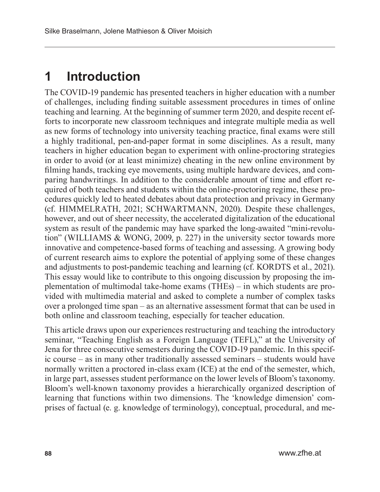# **1 Introduction**

The COVID-19 pandemic has presented teachers in higher education with a number of challenges, including finding suitable assessment procedures in times of online teaching and learning. At the beginning of summer term 2020, and despite recent efforts to incorporate new classroom techniques and integrate multiple media as well as new forms of technology into university teaching practice, final exams were still a highly traditional, pen-and-paper format in some disciplines. As a result, many teachers in higher education began to experiment with online-proctoring strategies in order to avoid (or at least minimize) cheating in the new online environment by filming hands, tracking eye movements, using multiple hardware devices, and comparing handwritings. In addition to the considerable amount of time and effort required of both teachers and students within the online-proctoring regime, these procedures quickly led to heated debates about data protection and privacy in Germany (cf. HIMMELRATH, 2021; SCHWARTMANN, 2020). Despite these challenges, however, and out of sheer necessity, the accelerated digitalization of the educational system as result of the pandemic may have sparked the long-awaited "mini-revolution" (WILLIAMS & WONG, 2009, p. 227) in the university sector towards more innovative and competence-based forms of teaching and assessing. A growing body of current research aims to explore the potential of applying some of these changes and adjustments to post-pandemic teaching and learning (cf. KORDTS et al., 2021). This essay would like to contribute to this ongoing discussion by proposing the implementation of multimodal take-home exams (THEs) – in which students are provided with multimedia material and asked to complete a number of complex tasks over a prolonged time span – as an alternative assessment format that can be used in both online and classroom teaching, especially for teacher education.

This article draws upon our experiences restructuring and teaching the introductory seminar, "Teaching English as a Foreign Language (TEFL)," at the University of Jena for three consecutive semesters during the COVID-19 pandemic. In this specific course – as in many other traditionally assessed seminars – students would have normally written a proctored in-class exam (ICE) at the end of the semester, which, in large part, assesses student performance on the lower levels of Bloom's taxonomy. Bloom's well-known taxonomy provides a hierarchically organized description of learning that functions within two dimensions. The 'knowledge dimension' comprises of factual (e. g. knowledge of terminology), conceptual, procedural, and me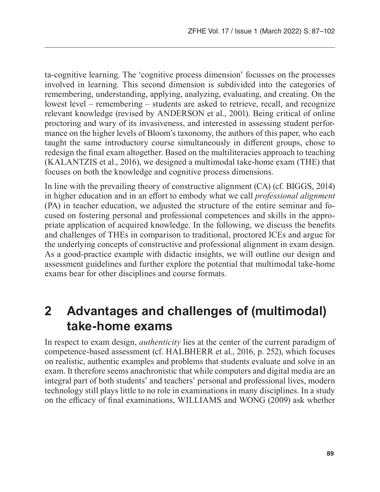ta-cognitive learning. The 'cognitive process dimension' focusses on the processes involved in learning. This second dimension is subdivided into the categories of remembering, understanding, applying, analyzing, evaluating, and creating. On the lowest level – remembering – students are asked to retrieve, recall, and recognize relevant knowledge (revised by ANDERSON et al., 2001). Being critical of online proctoring and wary of its invasiveness, and interested in assessing student performance on the higher levels of Bloom's taxonomy, the authors of this paper, who each taught the same introductory course simultaneously in different groups, chose to redesign the final exam altogether. Based on the multiliteracies approach to teaching (KALANTZIS et al., 2016), we designed a multimodal take-home exam (THE) that focuses on both the knowledge and cognitive process dimensions.

In line with the prevailing theory of constructive alignment (CA) (cf. BIGGS, 2014) in higher education and in an effort to embody what we call *professional alignment* (PA) in teacher education, we adjusted the structure of the entire seminar and focused on fostering personal and professional competences and skills in the appropriate application of acquired knowledge. In the following, we discuss the benefits and challenges of THEs in comparison to traditional, proctored ICEs and argue for the underlying concepts of constructive and professional alignment in exam design. As a good-practice example with didactic insights, we will outline our design and assessment guidelines and further explore the potential that multimodal take-home exams bear for other disciplines and course formats.

## **2 Advantages and challenges of (multimodal) take-home exams**

In respect to exam design, *authenticity* lies at the center of the current paradigm of competence-based assessment (cf. HALBHERR et al., 2016, p. 252), which focuses on realistic, authentic examples and problems that students evaluate and solve in an exam. It therefore seems anachronistic that while computers and digital media are an integral part of both students' and teachers' personal and professional lives, modern technology still plays little to no role in examinations in many disciplines. In a study on the efficacy of final examinations, WILLIAMS and WONG (2009) ask whether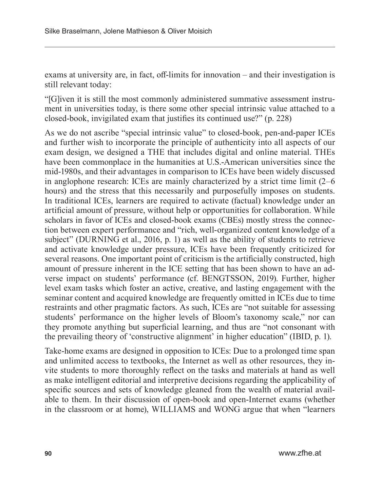exams at university are, in fact, off-limits for innovation – and their investigation is still relevant today:

"[G]iven it is still the most commonly administered summative assessment instrument in universities today, is there some other special intrinsic value attached to a closed-book, invigilated exam that justifies its continued use?" (p. 228)

As we do not ascribe "special intrinsic value" to closed-book, pen-and-paper ICEs and further wish to incorporate the principle of authenticity into all aspects of our exam design, we designed a THE that includes digital and online material. THEs have been commonplace in the humanities at U.S.-American universities since the mid-1980s, and their advantages in comparison to ICEs have been widely discussed in anglophone research: ICEs are mainly characterized by a strict time limit (2–6 hours) and the stress that this necessarily and purposefully imposes on students. In traditional ICEs, learners are required to activate (factual) knowledge under an artificial amount of pressure, without help or opportunities for collaboration. While scholars in favor of ICEs and closed-book exams (CBEs) mostly stress the connection between expert performance and "rich, well-organized content knowledge of a subject" (DURNING et al., 2016, p. 1) as well as the ability of students to retrieve and activate knowledge under pressure, ICEs have been frequently criticized for several reasons. One important point of criticism is the artificially constructed, high amount of pressure inherent in the ICE setting that has been shown to have an adverse impact on students' performance (cf. BENGTSSON, 2019). Further, higher level exam tasks which foster an active, creative, and lasting engagement with the seminar content and acquired knowledge are frequently omitted in ICEs due to time restraints and other pragmatic factors. As such, ICEs are "not suitable for assessing students' performance on the higher levels of Bloom's taxonomy scale," nor can they promote anything but superficial learning, and thus are "not consonant with the prevailing theory of 'constructive alignment' in higher education" (IBID, p. 1).

Take-home exams are designed in opposition to ICEs: Due to a prolonged time span and unlimited access to textbooks, the Internet as well as other resources, they invite students to more thoroughly reflect on the tasks and materials at hand as well as make intelligent editorial and interpretive decisions regarding the applicability of specific sources and sets of knowledge gleaned from the wealth of material available to them. In their discussion of open-book and open-Internet exams (whether in the classroom or at home), WILLIAMS and WONG argue that when "learners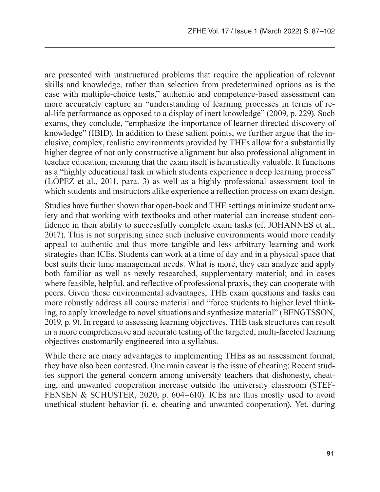are presented with unstructured problems that require the application of relevant skills and knowledge, rather than selection from predetermined options as is the case with multiple-choice tests," authentic and competence-based assessment can more accurately capture an "understanding of learning processes in terms of real-life performance as opposed to a display of inert knowledge" (2009, p. 229). Such exams, they conclude, "emphasize the importance of learner-directed discovery of knowledge" (IBID). In addition to these salient points, we further argue that the inclusive, complex, realistic environments provided by THEs allow for a substantially higher degree of not only constructive alignment but also professional alignment in teacher education, meaning that the exam itself is heuristically valuable. It functions as a "highly educational task in which students experience a deep learning process" (LÓPEZ et al., 2011, para. 3) as well as a highly professional assessment tool in which students and instructors alike experience a reflection process on exam design.

Studies have further shown that open-book and THE settings minimize student anxiety and that working with textbooks and other material can increase student confidence in their ability to successfully complete exam tasks (cf. JOHANNES et al., 2017). This is not surprising since such inclusive environments would more readily appeal to authentic and thus more tangible and less arbitrary learning and work strategies than ICEs. Students can work at a time of day and in a physical space that best suits their time management needs. What is more, they can analyze and apply both familiar as well as newly researched, supplementary material; and in cases where feasible, helpful, and reflective of professional praxis, they can cooperate with peers. Given these environmental advantages, THE exam questions and tasks can more robustly address all course material and "force students to higher level thinking, to apply knowledge to novel situations and synthesize material" (BENGTSSON, 2019, p. 9). In regard to assessing learning objectives, THE task structures can result in a more comprehensive and accurate testing of the targeted, multi-faceted learning objectives customarily engineered into a syllabus.

While there are many advantages to implementing THEs as an assessment format, they have also been contested. One main caveat is the issue of cheating: Recent studies support the general concern among university teachers that dishonesty, cheating, and unwanted cooperation increase outside the university classroom (STEF-FENSEN & SCHUSTER, 2020, p. 604–610). ICEs are thus mostly used to avoid unethical student behavior (i. e. cheating and unwanted cooperation). Yet, during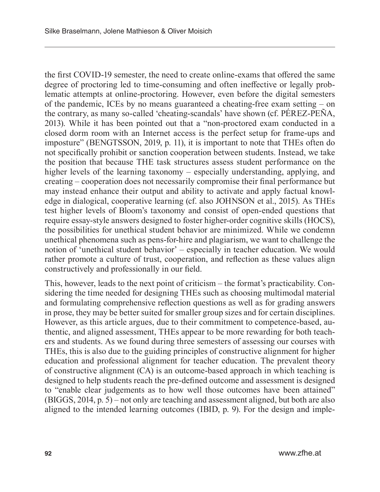the first COVID-19 semester, the need to create online-exams that offered the same degree of proctoring led to time-consuming and often ineffective or legally problematic attempts at online-proctoring. However, even before the digital semesters of the pandemic, ICEs by no means guaranteed a cheating-free exam setting – on the contrary, as many so-called 'cheating-scandals' have shown (cf. PÉREZ-PEÑA, 2013). While it has been pointed out that a "non-proctored exam conducted in a closed dorm room with an Internet access is the perfect setup for frame-ups and imposture" (BENGTSSON, 2019, p. 11), it is important to note that THEs often do not specifically prohibit or sanction cooperation between students. Instead, we take the position that because THE task structures assess student performance on the higher levels of the learning taxonomy – especially understanding, applying, and creating – cooperation does not necessarily compromise their final performance but may instead enhance their output and ability to activate and apply factual knowledge in dialogical, cooperative learning (cf. also JOHNSON et al., 2015). As THEs test higher levels of Bloom's taxonomy and consist of open-ended questions that require essay-style answers designed to foster higher-order cognitive skills (HOCS), the possibilities for unethical student behavior are minimized. While we condemn unethical phenomena such as pens-for-hire and plagiarism, we want to challenge the notion of 'unethical student behavior' – especially in teacher education. We would rather promote a culture of trust, cooperation, and reflection as these values align constructively and professionally in our field.

This, however, leads to the next point of criticism – the format's practicability. Considering the time needed for designing THEs such as choosing multimodal material and formulating comprehensive reflection questions as well as for grading answers in prose, they may be better suited for smaller group sizes and for certain disciplines. However, as this article argues, due to their commitment to competence-based, authentic, and aligned assessment, THEs appear to be more rewarding for both teachers and students. As we found during three semesters of assessing our courses with THEs, this is also due to the guiding principles of constructive alignment for higher education and professional alignment for teacher education. The prevalent theory of constructive alignment (CA) is an outcome-based approach in which teaching is designed to help students reach the pre-defined outcome and assessment is designed to "enable clear judgements as to how well those outcomes have been attained" (BIGGS, 2014, p. 5) – not only are teaching and assessment aligned, but both are also aligned to the intended learning outcomes (IBID, p. 9). For the design and imple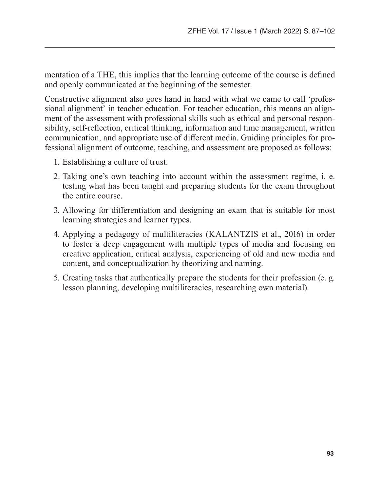mentation of a THE, this implies that the learning outcome of the course is defined and openly communicated at the beginning of the semester.

Constructive alignment also goes hand in hand with what we came to call 'professional alignment' in teacher education. For teacher education, this means an alignment of the assessment with professional skills such as ethical and personal responsibility, self-reflection, critical thinking, information and time management, written communication, and appropriate use of different media. Guiding principles for professional alignment of outcome, teaching, and assessment are proposed as follows:

- 1. Establishing a culture of trust.
- 2. Taking one's own teaching into account within the assessment regime, i. e. testing what has been taught and preparing students for the exam throughout the entire course.
- 3. Allowing for differentiation and designing an exam that is suitable for most learning strategies and learner types.
- 4. Applying a pedagogy of multiliteracies (KALANTZIS et al., 2016) in order to foster a deep engagement with multiple types of media and focusing on creative application, critical analysis, experiencing of old and new media and content, and conceptualization by theorizing and naming.
- 5. Creating tasks that authentically prepare the students for their profession (e. g. lesson planning, developing multiliteracies, researching own material).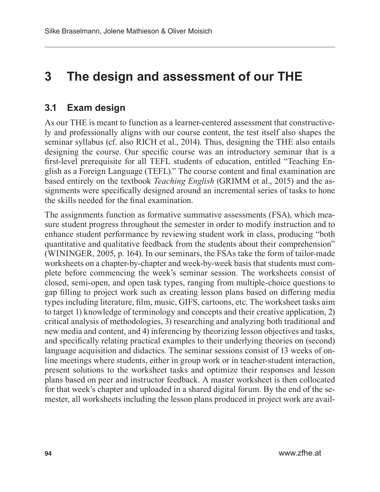## **3 The design and assessment of our THE**

### **3.1 Exam design**

As our THE is meant to function as a learner-centered assessment that constructively and professionally aligns with our course content, the test itself also shapes the seminar syllabus (cf. also RICH et al., 2014). Thus, designing the THE also entails designing the course. Our specific course was an introductory seminar that is a first-level prerequisite for all TEFL students of education, entitled "Teaching English as a Foreign Language (TEFL)." The course content and final examination are based entirely on the textbook *Teaching English* (GRIMM et al., 2015) and the assignments were specifically designed around an incremental series of tasks to hone the skills needed for the final examination.

The assignments function as formative summative assessments (FSA), which measure student progress throughout the semester in order to modify instruction and to enhance student performance by reviewing student work in class, producing "both quantitative and qualitative feedback from the students about their comprehension" (WININGER, 2005, p. 164). In our seminars, the FSAs take the form of tailor-made worksheets on a chapter-by-chapter and week-by-week basis that students must complete before commencing the week's seminar session. The worksheets consist of closed, semi-open, and open task types, ranging from multiple-choice questions to gap filling to project work such as creating lesson plans based on differing media types including literature, film, music, GIFS, cartoons, etc. The worksheet tasks aim to target 1) knowledge of terminology and concepts and their creative application, 2) critical analysis of methodologies, 3) researching and analyzing both traditional and new media and content, and 4) inferencing by theorizing lesson objectives and tasks, and specifically relating practical examples to their underlying theories on (second) language acquisition and didactics. The seminar sessions consist of 13 weeks of online meetings where students, either in group work or in teacher-student interaction, present solutions to the worksheet tasks and optimize their responses and lesson plans based on peer and instructor feedback. A master worksheet is then collocated for that week's chapter and uploaded in a shared digital forum. By the end of the semester, all worksheets including the lesson plans produced in project work are avail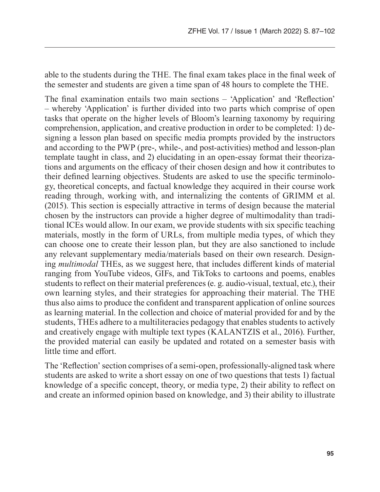able to the students during the THE. The final exam takes place in the final week of the semester and students are given a time span of 48 hours to complete the THE.

The final examination entails two main sections – 'Application' and 'Reflection' – whereby 'Application' is further divided into two parts which comprise of open tasks that operate on the higher levels of Bloom's learning taxonomy by requiring comprehension, application, and creative production in order to be completed: 1) designing a lesson plan based on specific media prompts provided by the instructors and according to the PWP (pre-, while-, and post-activities) method and lesson-plan template taught in class, and 2) elucidating in an open-essay format their theorizations and arguments on the efficacy of their chosen design and how it contributes to their defined learning objectives. Students are asked to use the specific terminology, theoretical concepts, and factual knowledge they acquired in their course work reading through, working with, and internalizing the contents of GRIMM et al. (2015). This section is especially attractive in terms of design because the material chosen by the instructors can provide a higher degree of multimodality than traditional ICEs would allow. In our exam, we provide students with six specific teaching materials, mostly in the form of URLs, from multiple media types, of which they can choose one to create their lesson plan, but they are also sanctioned to include any relevant supplementary media/materials based on their own research. Designing *multimodal* THEs, as we suggest here, that includes different kinds of material ranging from YouTube videos, GIFs, and TikToks to cartoons and poems, enables students to reflect on their material preferences (e. g. audio-visual, textual, etc.), their own learning styles, and their strategies for approaching their material. The THE thus also aims to produce the confident and transparent application of online sources as learning material. In the collection and choice of material provided for and by the students, THEs adhere to a multiliteracies pedagogy that enables students to actively and creatively engage with multiple text types (KALANTZIS et al., 2016). Further, the provided material can easily be updated and rotated on a semester basis with little time and effort.

The 'Reflection' section comprises of a semi-open, professionally-aligned task where students are asked to write a short essay on one of two questions that tests 1) factual knowledge of a specific concept, theory, or media type, 2) their ability to reflect on and create an informed opinion based on knowledge, and 3) their ability to illustrate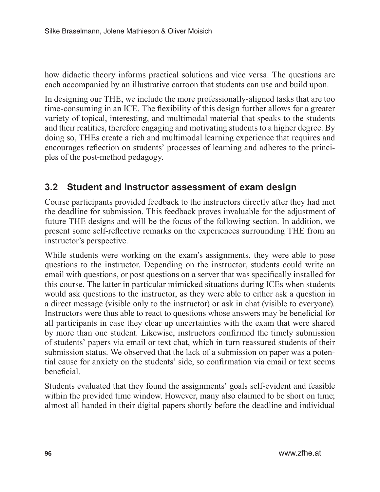how didactic theory informs practical solutions and vice versa. The questions are each accompanied by an illustrative cartoon that students can use and build upon.

In designing our THE, we include the more professionally-aligned tasks that are too time-consuming in an ICE. The flexibility of this design further allows for a greater variety of topical, interesting, and multimodal material that speaks to the students and their realities, therefore engaging and motivating students to a higher degree. By doing so, THEs create a rich and multimodal learning experience that requires and encourages reflection on students' processes of learning and adheres to the principles of the post-method pedagogy.

### **3.2 Student and instructor assessment of exam design**

Course participants provided feedback to the instructors directly after they had met the deadline for submission. This feedback proves invaluable for the adjustment of future THE designs and will be the focus of the following section. In addition, we present some self-reflective remarks on the experiences surrounding THE from an instructor's perspective.

While students were working on the exam's assignments, they were able to pose questions to the instructor. Depending on the instructor, students could write an email with questions, or post questions on a server that was specifically installed for this course. The latter in particular mimicked situations during ICEs when students would ask questions to the instructor, as they were able to either ask a question in a direct message (visible only to the instructor) or ask in chat (visible to everyone). Instructors were thus able to react to questions whose answers may be beneficial for all participants in case they clear up uncertainties with the exam that were shared by more than one student. Likewise, instructors confirmed the timely submission of students' papers via email or text chat, which in turn reassured students of their submission status. We observed that the lack of a submission on paper was a potential cause for anxiety on the students' side, so confirmation via email or text seems beneficial.

Students evaluated that they found the assignments' goals self-evident and feasible within the provided time window. However, many also claimed to be short on time; almost all handed in their digital papers shortly before the deadline and individual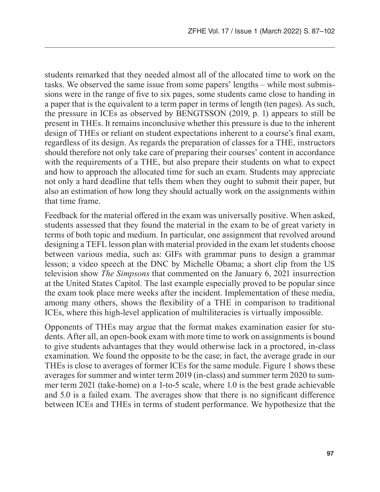students remarked that they needed almost all of the allocated time to work on the tasks. We observed the same issue from some papers' lengths – while most submissions were in the range of five to six pages, some students came close to handing in a paper that is the equivalent to a term paper in terms of length (ten pages). As such, the pressure in ICEs as observed by BENGTSSON (2019, p. 1) appears to still be present in THEs. It remains inconclusive whether this pressure is due to the inherent design of THEs or reliant on student expectations inherent to a course's final exam, regardless of its design. As regards the preparation of classes for a THE, instructors should therefore not only take care of preparing their courses' content in accordance with the requirements of a THE, but also prepare their students on what to expect and how to approach the allocated time for such an exam. Students may appreciate not only a hard deadline that tells them when they ought to submit their paper, but also an estimation of how long they should actually work on the assignments within that time frame.

Feedback for the material offered in the exam was universally positive. When asked, students assessed that they found the material in the exam to be of great variety in terms of both topic and medium. In particular, one assignment that revolved around designing a TEFL lesson plan with material provided in the exam let students choose between various media, such as: GIFs with grammar puns to design a grammar lesson; a video speech at the DNC by Michelle Obama; a short clip from the US television show *The Simpsons* that commented on the January 6, 2021 insurrection at the United States Capitol. The last example especially proved to be popular since the exam took place mere weeks after the incident. Implementation of these media, among many others, shows the flexibility of a THE in comparison to traditional ICEs, where this high-level application of multiliteracies is virtually impossible.

Opponents of THEs may argue that the format makes examination easier for students. After all, an open-book exam with more time to work on assignments is bound to give students advantages that they would otherwise lack in a proctored, in-class examination. We found the opposite to be the case; in fact, the average grade in our THEs is close to averages of former ICEs for the same module. Figure 1 shows these averages for summer and winter term 2019 (in-class) and summer term 2020 to summer term 2021 (take-home) on a 1-to-5 scale, where 1.0 is the best grade achievable and 5.0 is a failed exam. The averages show that there is no significant difference between ICEs and THEs in terms of student performance. We hypothesize that the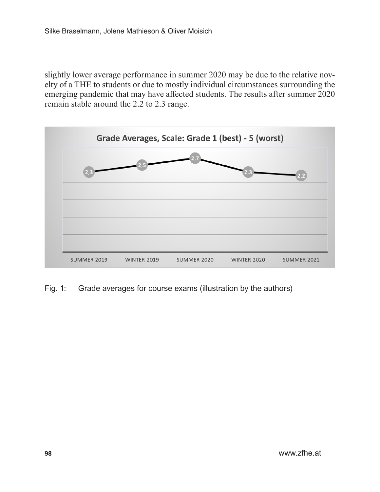slightly lower average performance in summer 2020 may be due to the relative novelty of a THE to students or due to mostly individual circumstances surrounding the emerging pandemic that may have affected students. The results after summer 2020 remain stable around the 2.2 to 2.3 range.



Fig. 1: Grade averages for course exams (illustration by the authors)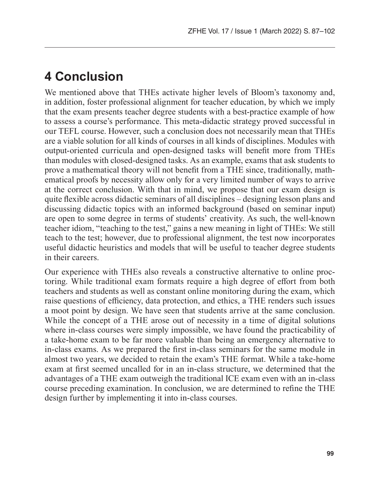### **4 Conclusion**

We mentioned above that THEs activate higher levels of Bloom's taxonomy and, in addition, foster professional alignment for teacher education, by which we imply that the exam presents teacher degree students with a best-practice example of how to assess a course's performance. This meta-didactic strategy proved successful in our TEFL course. However, such a conclusion does not necessarily mean that THEs are a viable solution for all kinds of courses in all kinds of disciplines. Modules with output-oriented curricula and open-designed tasks will benefit more from THEs than modules with closed-designed tasks. As an example, exams that ask students to prove a mathematical theory will not benefit from a THE since, traditionally, mathematical proofs by necessity allow only for a very limited number of ways to arrive at the correct conclusion. With that in mind, we propose that our exam design is quite flexible across didactic seminars of all disciplines – designing lesson plans and discussing didactic topics with an informed background (based on seminar input) are open to some degree in terms of students' creativity. As such, the well-known teacher idiom, "teaching to the test," gains a new meaning in light of THEs: We still teach to the test; however, due to professional alignment, the test now incorporates useful didactic heuristics and models that will be useful to teacher degree students in their careers.

Our experience with THEs also reveals a constructive alternative to online proctoring. While traditional exam formats require a high degree of effort from both teachers and students as well as constant online monitoring during the exam, which raise questions of efficiency, data protection, and ethics, a THE renders such issues a moot point by design. We have seen that students arrive at the same conclusion. While the concept of a THE arose out of necessity in a time of digital solutions where in-class courses were simply impossible, we have found the practicability of a take-home exam to be far more valuable than being an emergency alternative to in-class exams. As we prepared the first in-class seminars for the same module in almost two years, we decided to retain the exam's THE format. While a take-home exam at first seemed uncalled for in an in-class structure, we determined that the advantages of a THE exam outweigh the traditional ICE exam even with an in-class course preceding examination. In conclusion, we are determined to refine the THE design further by implementing it into in-class courses.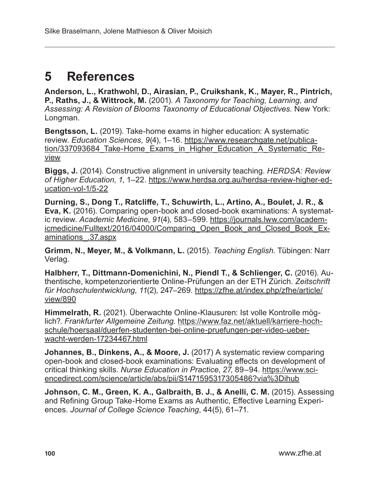## **5 References**

**Anderson, L., Krathwohl, D., Airasian, P., Cruikshank, K., Mayer, R., Pintrich, P., Raths, J., & Wittrock, M.** (2001). *A Taxonomy for Teaching, Learning, and Assessing: A Revision of Blooms Taxonomy of Educational Objectives.* New York: Longman.

**Bengtsson, L.** (2019). Take-home exams in higher education: A systematic review. *Education Sciences*, *9*(4), 1–16. [https://www.researchgate.net/publica](https://www.researchgate.net/publication/337093684_Take-Home_Exams_in_Higher_Education_A_Systematic_Review)tion/337093684 Take-Home\_Exams\_in\_Higher\_Education\_A\_Systematic\_Re[view](https://www.researchgate.net/publication/337093684_Take-Home_Exams_in_Higher_Education_A_Systematic_Review)

**Biggs, J.** (2014). Constructive alignment in university teaching. *HERDSA: Review of Higher Education*, *1*, 1–22. [https://www.herdsa.org.au/herdsa-review-higher-ed](https://www.herdsa.org.au/herdsa-review-higher-education-vol-1/5-22)[ucation-vol-1/5-22](https://www.herdsa.org.au/herdsa-review-higher-education-vol-1/5-22)

**Durning, S., Dong T., Ratcliffe, T., Schuwirth, L., Artino, A., Boulet, J. R., & Eva, K.** (2016). Comparing open-book and closed-book examinations: A systematic review. *Academic Medicine*, *91*(4), 583–599. [https://journals.lww.com/academ](https://journals.lww.com/academicmedicine/Fulltext/2016/04000/Comparing_Open_Book_and_Closed_Book_Examinations_.37.aspx)[icmedicine/Fulltext/2016/04000/Comparing\\_Open\\_Book\\_and\\_Closed\\_Book\\_Ex](https://journals.lww.com/academicmedicine/Fulltext/2016/04000/Comparing_Open_Book_and_Closed_Book_Examinations_.37.aspx)[aminations\\_.37.aspx](https://journals.lww.com/academicmedicine/Fulltext/2016/04000/Comparing_Open_Book_and_Closed_Book_Examinations_.37.aspx)

**Grimm, N., Meyer, M., & Volkmann, L.** (2015). *Teaching English*. Tübingen: Narr Verlag.

**Halbherr, T., Dittmann-Domenichini, N., Piendl T., & Schlienger, C.** (2016). Authentische, kompetenzorientierte Online-Prüfungen an der ETH Zürich. *Zeitschrift für Hochschulentwicklung*, *11*(2), 247–269. [https://zfhe.at/index.php/zfhe/article/](https://zfhe.at/index.php/zfhe/article/view/890) [view/890](https://zfhe.at/index.php/zfhe/article/view/890)

**Himmelrath, R.** (2021). Überwachte Online-Klausuren: Ist volle Kontrolle möglich?. *Frankfurter Allgemeine Zeitung*. [https://www.faz.net/aktuell/karriere-hoch](https://www.faz.net/aktuell/karriere-hochschule/hoersaal/duerfen-studenten-bei-online-pruefungen-per-video-ueberwacht-werden-17234467.html)[schule/hoersaal/duerfen-studenten-bei-online-pruefungen-per-video-ueber](https://www.faz.net/aktuell/karriere-hochschule/hoersaal/duerfen-studenten-bei-online-pruefungen-per-video-ueberwacht-werden-17234467.html)[wacht-werden-17234467.html](https://www.faz.net/aktuell/karriere-hochschule/hoersaal/duerfen-studenten-bei-online-pruefungen-per-video-ueberwacht-werden-17234467.html)

**Johannes, B., Dinkens, A., & Moore, J.** (2017) A systematic review comparing open-book and closed-book examinations: Evaluating effects on development of critical thinking skills. *Nurse Education in Practice*, *27*, 89–94. [https://www.sci](https://www.sciencedirect.com/science/article/abs/pii/S1471595317305486?via%3Dihub)[encedirect.com/science/article/abs/pii/S1471595317305486?via%3Dihub](https://www.sciencedirect.com/science/article/abs/pii/S1471595317305486?via%3Dihub)

**Johnson, C. M., Green, K. A., Galbraith, B. J., & Anelli, C. M.** (2015). Assessing and Refining Group Take-Home Exams as Authentic, Effective Learning Experiences. *Journal of College Science Teaching*, 44(5), 61–71.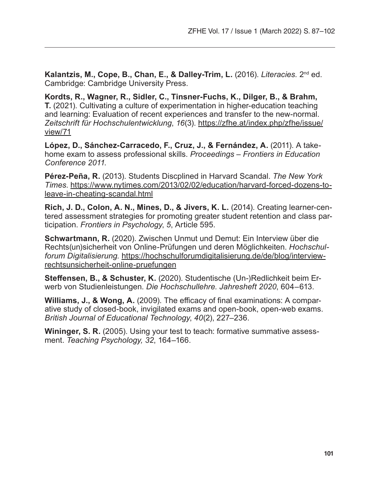**Kalantzis, M., Cope, B., Chan, E., & Dalley-Trim, L.** (2016). *Literacies.* 2nd ed. Cambridge: Cambridge University Press.

**Kordts, R., Wagner, R., Sidler, C., Tinsner-Fuchs, K., Dilger, B., & Brahm, T.** (2021). Cultivating a culture of experimentation in higher-education teaching and learning: Evaluation of recent experiences and transfer to the new-normal. *Zeitschrift für Hochschulentwicklung*, *16*(3). [https://zfhe.at/index.php/zfhe/issue/](https://zfhe.at/index.php/zfhe/issue/view/71) [view/71](https://zfhe.at/index.php/zfhe/issue/view/71)

**López, D., Sánchez-Carracedo, F., Cruz, J., & Fernández, A.** (2011). A takehome exam to assess professional skills. *Proceedings – Frontiers in Education Conference 2011*.

**Pérez-Peña, R.** (2013). Students Discplined in Harvard Scandal. *The New York Times*. [https://www.nytimes.com/2013/02/02/education/harvard-forced-dozens-to](https://www.nytimes.com/2013/02/02/education/harvard-forced-dozens-to-leave-in-cheating-scandal.html)[leave-in-cheating-scandal.html](https://www.nytimes.com/2013/02/02/education/harvard-forced-dozens-to-leave-in-cheating-scandal.html)

**Rich, J. D., Colon, A. N., Mines, D., & Jivers, K. L.** (2014). Creating learner-centered assessment strategies for promoting greater student retention and class participation. *Frontiers in Psychology*, *5*, Article 595.

**Schwartmann, R.** (2020). Zwischen Unmut und Demut: Ein Interview über die Rechts(un)sicherheit von Online-Prüfungen und deren Möglichkeiten. *Hochschulforum Digitalisierung.* [https://hochschulforumdigitalisierung.de/de/blog/interview](https://hochschulforumdigitalisierung.de/de/blog/interview-rechtsunsicherheit-online-pruefungen)[rechtsunsicherheit-online-pruefungen](https://hochschulforumdigitalisierung.de/de/blog/interview-rechtsunsicherheit-online-pruefungen)

**Steffensen, B., & Schuster, K.** (2020). Studentische (Un-)Redlichkeit beim Erwerb von Studienleistungen. *Die Hochschullehre. Jahresheft 2020*, 604–613.

**Williams, J., & Wong, A.** (2009). The efficacy of final examinations: A comparative study of closed-book, invigilated exams and open-book, open-web exams. *British Journal of Educational Technology*, *40*(2), 227–236.

**Wininger, S. R.** (2005). Using your test to teach: formative summative assessment. *Teaching Psychology, 32*, 164–166.